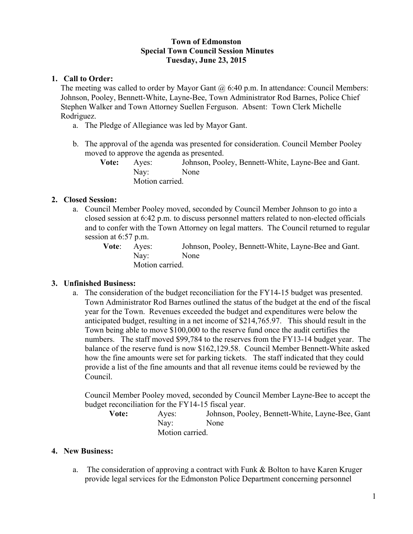## **Town of Edmonston Special Town Council Session Minutes Tuesday, June 23, 2015**

## **1. Call to Order:**

The meeting was called to order by Mayor Gant  $(a)$  6:40 p.m. In attendance: Council Members: Johnson, Pooley, Bennett-White, Layne-Bee, Town Administrator Rod Barnes, Police Chief Stephen Walker and Town Attorney Suellen Ferguson. Absent: Town Clerk Michelle Rodriguez.

- a. The Pledge of Allegiance was led by Mayor Gant.
- b. The approval of the agenda was presented for consideration. Council Member Pooley moved to approve the agenda as presented.

**Vote:** Ayes: Johnson, Pooley, Bennett-White, Layne-Bee and Gant. Nay: None Motion carried.

## **2. Closed Session:**

a. Council Member Pooley moved, seconded by Council Member Johnson to go into a closed session at 6:42 p.m. to discuss personnel matters related to non-elected officials and to confer with the Town Attorney on legal matters. The Council returned to regular session at 6:57 p.m.

> **Vote**: Ayes: Johnson, Pooley, Bennett-White, Layne-Bee and Gant. Nay: None Motion carried.

# **3. Unfinished Business:**

a. The consideration of the budget reconciliation for the FY14-15 budget was presented. Town Administrator Rod Barnes outlined the status of the budget at the end of the fiscal year for the Town. Revenues exceeded the budget and expenditures were below the anticipated budget, resulting in a net income of \$214,765.97. This should result in the Town being able to move \$100,000 to the reserve fund once the audit certifies the numbers. The staff moved \$99,784 to the reserves from the FY13-14 budget year. The balance of the reserve fund is now \$162,129.58. Council Member Bennett-White asked how the fine amounts were set for parking tickets. The staff indicated that they could provide a list of the fine amounts and that all revenue items could be reviewed by the Council.

Council Member Pooley moved, seconded by Council Member Layne-Bee to accept the budget reconciliation for the FY14-15 fiscal year.

**Vote:** Ayes: Johnson, Pooley, Bennett-White, Layne-Bee, Gant Nay: None Motion carried.

## **4. New Business:**

a. The consideration of approving a contract with Funk & Bolton to have Karen Kruger provide legal services for the Edmonston Police Department concerning personnel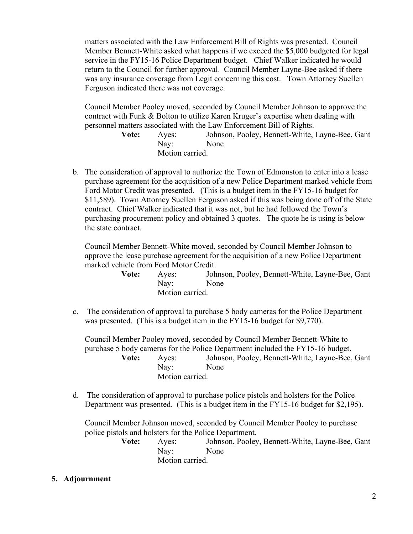matters associated with the Law Enforcement Bill of Rights was presented. Council Member Bennett-White asked what happens if we exceed the \$5,000 budgeted for legal service in the FY15-16 Police Department budget. Chief Walker indicated he would return to the Council for further approval. Council Member Layne-Bee asked if there was any insurance coverage from Legit concerning this cost. Town Attorney Suellen Ferguson indicated there was not coverage.

Council Member Pooley moved, seconded by Council Member Johnson to approve the contract with Funk & Bolton to utilize Karen Kruger's expertise when dealing with personnel matters associated with the Law Enforcement Bill of Rights.

> **Vote:** Ayes: Johnson, Pooley, Bennett-White, Layne-Bee, Gant Nay: None Motion carried.

b. The consideration of approval to authorize the Town of Edmonston to enter into a lease purchase agreement for the acquisition of a new Police Department marked vehicle from Ford Motor Credit was presented. (This is a budget item in the FY15-16 budget for \$11,589). Town Attorney Suellen Ferguson asked if this was being done off of the State contract. Chief Walker indicated that it was not, but he had followed the Town's purchasing procurement policy and obtained 3 quotes. The quote he is using is below the state contract.

Council Member Bennett-White moved, seconded by Council Member Johnson to approve the lease purchase agreement for the acquisition of a new Police Department marked vehicle from Ford Motor Credit.

> **Vote:** Ayes: Johnson, Pooley, Bennett-White, Layne-Bee, Gant Nay: None Motion carried.

c. The consideration of approval to purchase 5 body cameras for the Police Department was presented. (This is a budget item in the FY15-16 budget for \$9,770).

Council Member Pooley moved, seconded by Council Member Bennett-White to purchase 5 body cameras for the Police Department included the FY15-16 budget. **Vote:** Ayes: Johnson, Pooley, Bennett-White, Layne-Bee, Gant Nay: None Motion carried.

d. The consideration of approval to purchase police pistols and holsters for the Police Department was presented. (This is a budget item in the FY15-16 budget for \$2,195).

Council Member Johnson moved, seconded by Council Member Pooley to purchase police pistols and holsters for the Police Department.

> **Vote:** Ayes: Johnson, Pooley, Bennett-White, Layne-Bee, Gant Nay: None Motion carried.

**5. Adjournment**